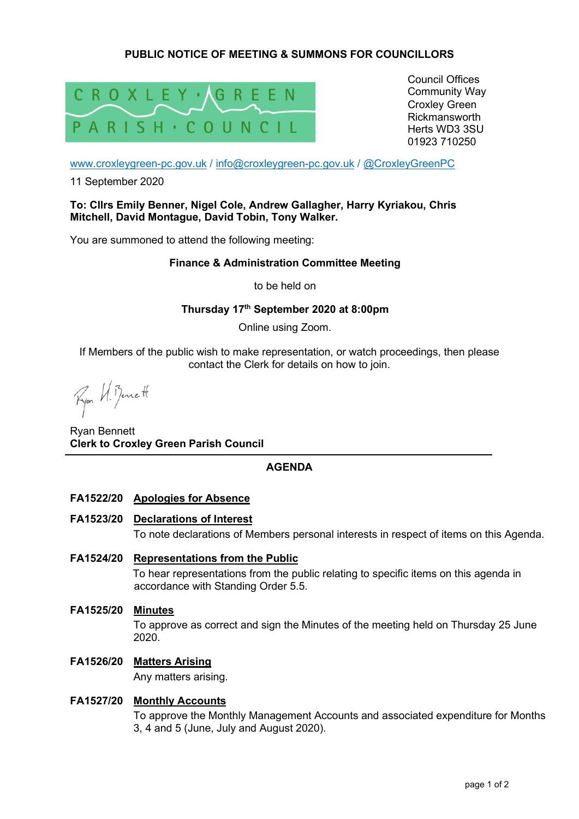# **PUBLIC NOTICE OF MEETING & SUMMONS FOR COUNCILLORS**



Council Offices Community Way Croxley Green Rickmansworth Herts WD3 3SU 01923 710250

www.croxleygreen-pc.gov.uk / info@croxleygreen-pc.gov.uk / @CroxleyGreenPC

11 September 2020

## **To: Cllrs Emily Benner, Nigel Cole, Andrew Gallagher, Harry Kyriakou, Chris Mitchell, David Montague, David Tobin, Tony Walker.**

You are summoned to attend the following meeting:

## **Finance & Administration Committee Meeting**

to be held on

## **Thursday 17th September 2020 at 8:00pm**

Online using Zoom.

If Members of the public wish to make representation, or watch proceedings, then please contact the Clerk for details on how to join.

Ryon VI. Bennett

Ryan Bennett **Clerk to Croxley Green Parish Council** 

## **AGENDA**

- **FA1522/20 Apologies for Absence**
- **FA1523/20 Declarations of Interest**  To note declarations of Members personal interests in respect of items on this Agenda.
- **FA1524/20 Representations from the Public**  To hear representations from the public relating to specific items on this agenda in accordance with Standing Order 5.5.
- **FA1525/20 Minutes**  To approve as correct and sign the Minutes of the meeting held on Thursday 25 June 2020.
- **FA1526/20 Matters Arising**

Any matters arising.

# **FA1527/20 Monthly Accounts**

To approve the Monthly Management Accounts and associated expenditure for Months 3, 4 and 5 (June, July and August 2020).